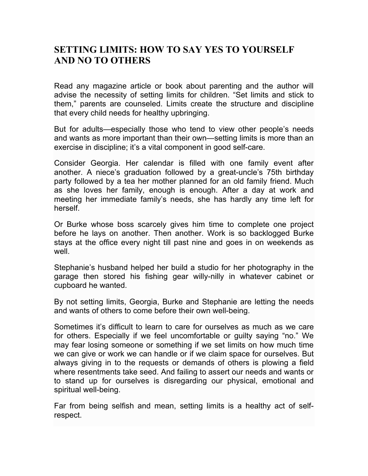## **SETTING LIMITS: HOW TO SAY YES TO YOURSELF AND NO TO OTHERS**

Read any magazine article or book about parenting and the author will advise the necessity of setting limits for children. "Set limits and stick to them," parents are counseled. Limits create the structure and discipline that every child needs for healthy upbringing.

But for adults—especially those who tend to view other people's needs and wants as more important than their own—setting limits is more than an exercise in discipline; it's a vital component in good self-care.

Consider Georgia. Her calendar is filled with one family event after another. A niece's graduation followed by a great-uncle's 75th birthday party followed by a tea her mother planned for an old family friend. Much as she loves her family, enough is enough. After a day at work and meeting her immediate family's needs, she has hardly any time left for herself.

Or Burke whose boss scarcely gives him time to complete one project before he lays on another. Then another. Work is so backlogged Burke stays at the office every night till past nine and goes in on weekends as well.

Stephanie's husband helped her build a studio for her photography in the garage then stored his fishing gear willy-nilly in whatever cabinet or cupboard he wanted.

By not setting limits, Georgia, Burke and Stephanie are letting the needs and wants of others to come before their own well-being.

Sometimes it's difficult to learn to care for ourselves as much as we care for others. Especially if we feel uncomfortable or guilty saying "no." We may fear losing someone or something if we set limits on how much time we can give or work we can handle or if we claim space for ourselves. But always giving in to the requests or demands of others is plowing a field where resentments take seed. And failing to assert our needs and wants or to stand up for ourselves is disregarding our physical, emotional and spiritual well-being.

Far from being selfish and mean, setting limits is a healthy act of selfrespect.